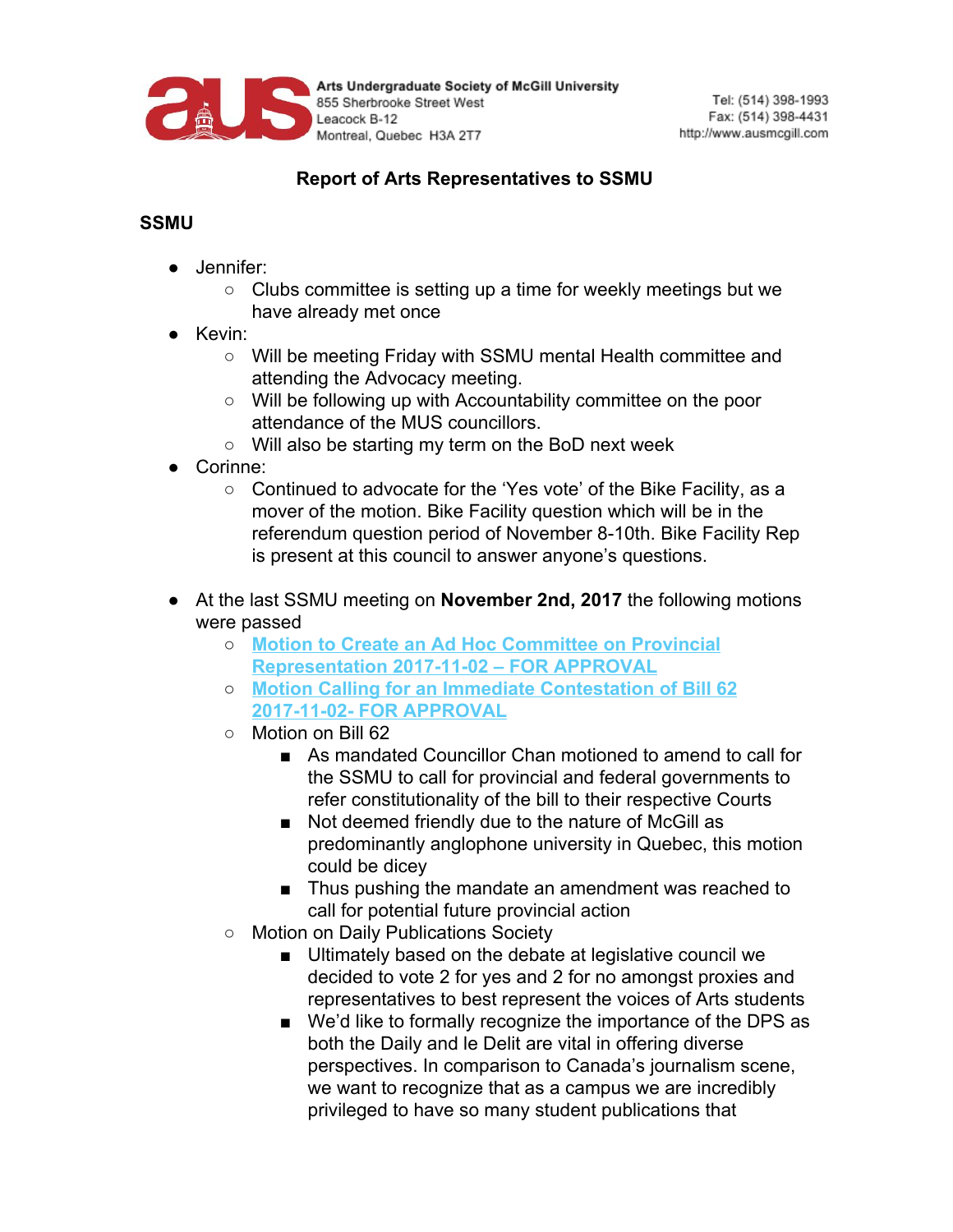

Arts Undergraduate Society of McGill University 855 Sherbrooke Street West Leacock B-12 Montreal, Quebec H3A 2T7

## **Report of Arts Representatives to SSMU**

## **SSMU**

- Jennifer:
	- Clubs committee is setting up a time for weekly meetings but we have already met once
- Kevin:
	- Will be meeting Friday with SSMU mental Health committee and attending the Advocacy meeting.
	- Will be following up with Accountability committee on the poor attendance of the MUS councillors.
	- Will also be starting my term on the BoD next week
- Corinne:
	- Continued to advocate for the 'Yes vote' of the Bike Facility, as a mover of the motion. Bike Facility question which will be in the referendum question period of November 8-10th. Bike Facility Rep is present at this council to answer anyone's questions.
- At the last SSMU meeting on **November 2nd, 2017** the following motions were passed
	- **Motion to Create an Ad Hoc [Committee](http://ssmu.ca/wp-content/uploads/2008/10/Motion-to-Create-an-Ad-Hoc-Committee-on-Provincial-Representation.pdf?x26516) on Provincial [Representation](http://ssmu.ca/wp-content/uploads/2008/10/Motion-to-Create-an-Ad-Hoc-Committee-on-Provincial-Representation.pdf?x26516) 2017-11-02 – FOR APPROVAL**
	- **Motion Calling for an Immediate [Contestation](http://ssmu.ca/wp-content/uploads/2008/10/Motion-Calling-for-an-Immediate-Contestation-of-Bill-62.pdf?x26516) of Bill 62 2017-11-02- FOR [APPROVAL](http://ssmu.ca/wp-content/uploads/2008/10/Motion-Calling-for-an-Immediate-Contestation-of-Bill-62.pdf?x26516)**
	- Motion on Bill 62
		- As mandated Councillor Chan motioned to amend to call for the SSMU to call for provincial and federal governments to refer constitutionality of the bill to their respective Courts
		- Not deemed friendly due to the nature of McGill as predominantly anglophone university in Quebec, this motion could be dicey
		- Thus pushing the mandate an amendment was reached to call for potential future provincial action
	- Motion on Daily Publications Society
		- Ultimately based on the debate at legislative council we decided to vote 2 for yes and 2 for no amongst proxies and representatives to best represent the voices of Arts students
		- We'd like to formally recognize the importance of the DPS as both the Daily and le Delit are vital in offering diverse perspectives. In comparison to Canada's journalism scene, we want to recognize that as a campus we are incredibly privileged to have so many student publications that